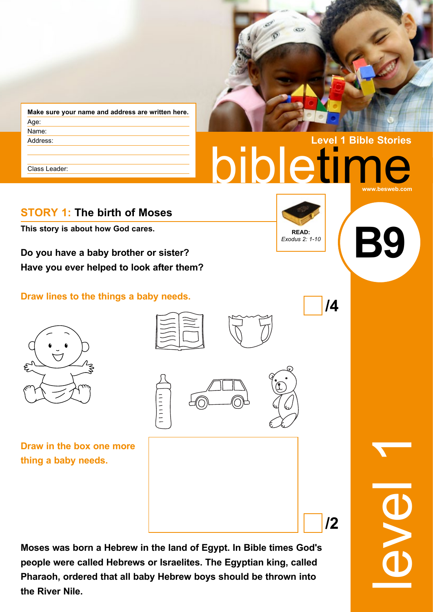| Make sure your name and address are written here. |  |  |  |
|---------------------------------------------------|--|--|--|
| Age:                                              |  |  |  |
| Name:                                             |  |  |  |
| Address:                                          |  |  |  |
|                                                   |  |  |  |
|                                                   |  |  |  |

Class Leader:

# **STORY 1: The birth of Moses**

**This story is about how God cares. READ: READ: READ:** 

**Do you have a baby brother or sister? Have you ever helped to look after them?**

### **Draw lines to the things a baby needs.**



**Draw in the box one more thing a baby needs.** 

|        | ίν |
|--------|----|
| 111111 |    |
|        |    |
|        |    |
|        |    |
|        |    |

 $\overline{R}$ 

bibletir

 $\overline{c}$ 

*Exodus 2: 1-10*

**/4**

**/2**

level 1

**Moses was born a Hebrew in the land of Egypt. In Bible times God's people were called Hebrews or Israelites. The Egyptian king, called Pharaoh, ordered that all baby Hebrew boys should be thrown into the River Nile.**

 $\frac{|\mathbf{x}|}{|\mathbf{x}|}$ 

**www.besweb.com**

**Level 1 Bible Stories**

**B9**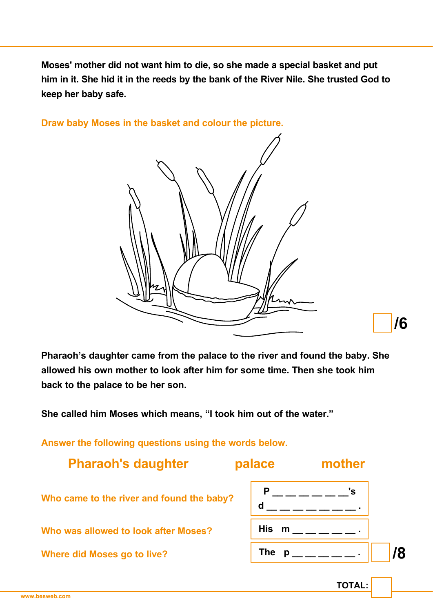**Moses' mother did not want him to die, so she made a special basket and put him in it. She hid it in the reeds by the bank of the River Nile. She trusted God to keep her baby safe.**

**Draw baby Moses in the basket and colour the picture.**



**Pharaoh's daughter came from the palace to the river and found the baby. She allowed his own mother to look after him for some time. Then she took him back to the palace to be her son.**

**/6**

**She called him Moses which means, "I took him out of the water."**

**Answer the following questions using the words below.**

| <b>Pharaoh's daughter</b>                 | palace<br>mother |    |
|-------------------------------------------|------------------|----|
| Who came to the river and found the baby? | P<br>d           |    |
| Who was allowed to look after Moses?      | <b>His</b><br>m  |    |
| <b>Where did Moses go to live?</b>        | The<br>p         | /8 |
|                                           | 10               |    |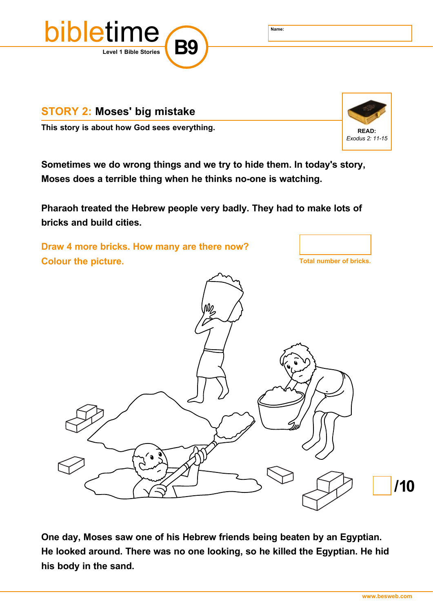**STORY 2: Moses' big mistake** 

**This story is about how God sees everything. READ: READ: READ:** 

**Sometimes we do wrong things and we try to hide them. In today's story, Moses does a terrible thing when he thinks no-one is watching.** 

**Pharaoh treated the Hebrew people very badly. They had to make lots of bricks and build cities.**

**Draw 4 more bricks. How many are there now? Colour the picture.**

**One day, Moses saw one of his Hebrew friends being beaten by an Egyptian. He looked around. There was no one looking, so he killed the Egyptian. He hid his body in the sand.**





**Total number of bricks.**



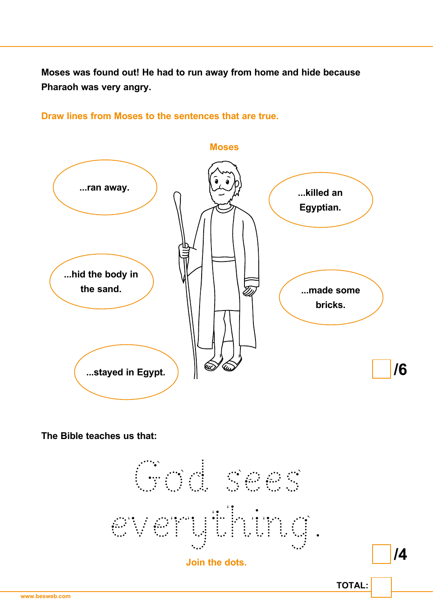**Moses was found out! He had to run away from home and hide because Pharaoh was very angry.**

**Draw lines from Moses to the sentences that are true.**



**The Bible teaches us that:**



**TOTAL:**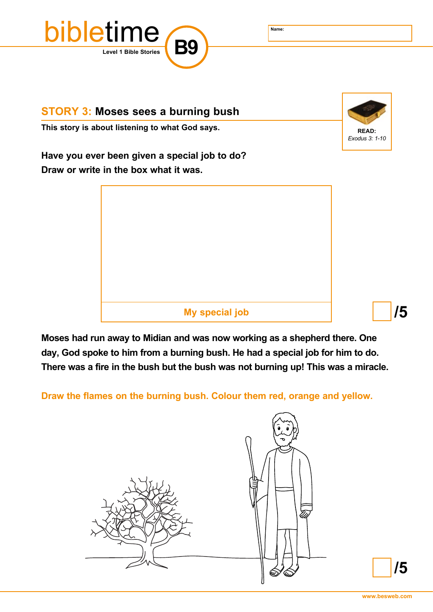



**Have you ever been given a special job to do?**

**STORY 3: Moses sees a burning bush**

**Draw or write in the box what it was.**



**Moses had run away to Midian and was now working as a shepherd there. One day, God spoke to him from a burning bush. He had a special job for him to do. There was a fire in the bush but the bush was not burning up! This was a miracle.**

**Draw the flames on the burning bush. Colour them red, orange and yellow.**



**/5**

**/5**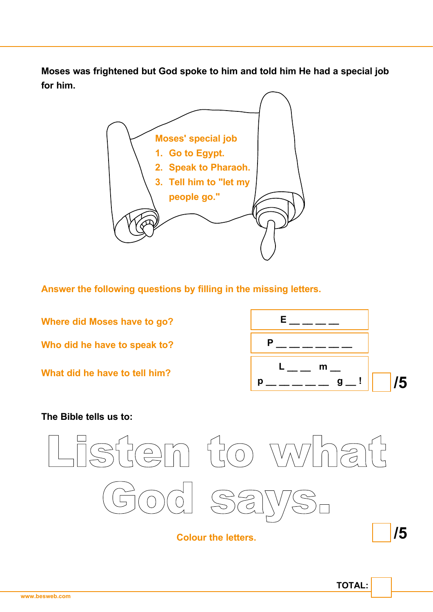**Moses was frightened but God spoke to him and told him He had a special job for him.**



**Answer the following questions by filling in the missing letters.**

**Where did Moses have to go?**  $\qquad \qquad \vert$  **E** \_ \_ \_ \_ Who did he have to speak to? **P** \_\_



**The Bible tells us to:**

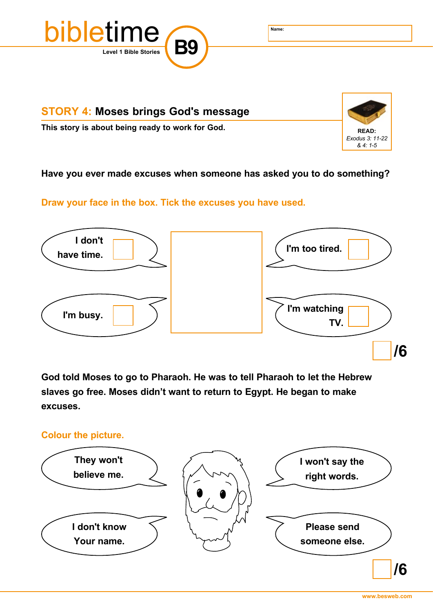

## **STORY 4: Moses brings God's message**

**This story is about being ready to work for God. <br>READ: READ:** 



### **Have you ever made excuses when someone has asked you to do something?**

### **Draw your face in the box. Tick the excuses you have used.**



**God told Moses to go to Pharaoh. He was to tell Pharaoh to let the Hebrew slaves go free. Moses didn't want to return to Egypt. He began to make excuses.**

**Colour the picture.**